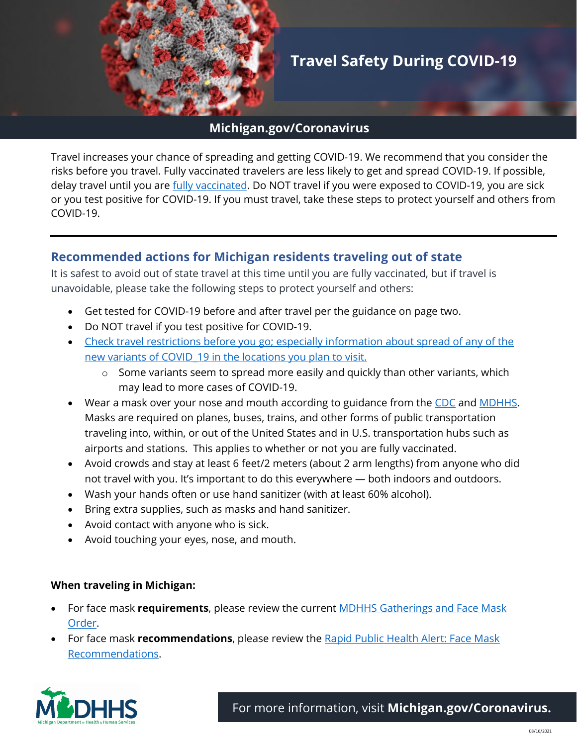

# **Travel Safety During COVID-19**

### **Michigan.gov/Coronavirus**

Travel increases your chance of spreading and getting COVID-19. We recommend that you consider the risks before you travel. Fully vaccinated travelers are less likely to get and spread COVID-19. If possible, delay travel until you are *fully vaccinated*. Do NOT travel if you were exposed to COVID-19, you are sick or you test positive for COVID-19. If you must travel, take these steps to protect yourself and others from COVID-19.

## **Recommended actions for Michigan residents traveling out of state**

It is safest to avoid out of state travel at this time until you are fully vaccinated, but if travel is unavoidable, please take the following steps to protect yourself and others:

- Get tested for COVID-19 before and after travel per the guidance on page two.
- Do NOT travel if you test positive for COVID-19.
- Check travel restrictions before you go; especially information about spread of any of the new variants of COVID\_19 in the locations you plan to visit.
	- o Some variants seem to spread more easily and quickly than other variants, which may lead to more cases of COVID-19.
- Wear a mask over your nose and mouth according to guidance from the CDC and MDHHS. Masks are required on planes, buses, trains, and other forms of public transportation traveling into, within, or out of the United States and in U.S. transportation hubs such as airports and stations. This applies to whether or not you are fully vaccinated.
- Avoid crowds and stay at least 6 feet/2 meters (about 2 arm lengths) from anyone who did not travel with you. It's important to do this everywhere — both indoors and outdoors.
- Wash your hands often or use hand sanitizer (with at least 60% alcohol).
- Bring extra supplies, such as masks and hand sanitizer.
- Avoid contact with anyone who is sick.
- Avoid touching your eyes, nose, and mouth.

#### **When traveling in Michigan:**

- For face mask **requirements**, please review the current MDHHS Gatherings and Face Mask Order.
- For face mask **recommendations**, please review the Rapid Public Health Alert: Face Mask Recommendations.